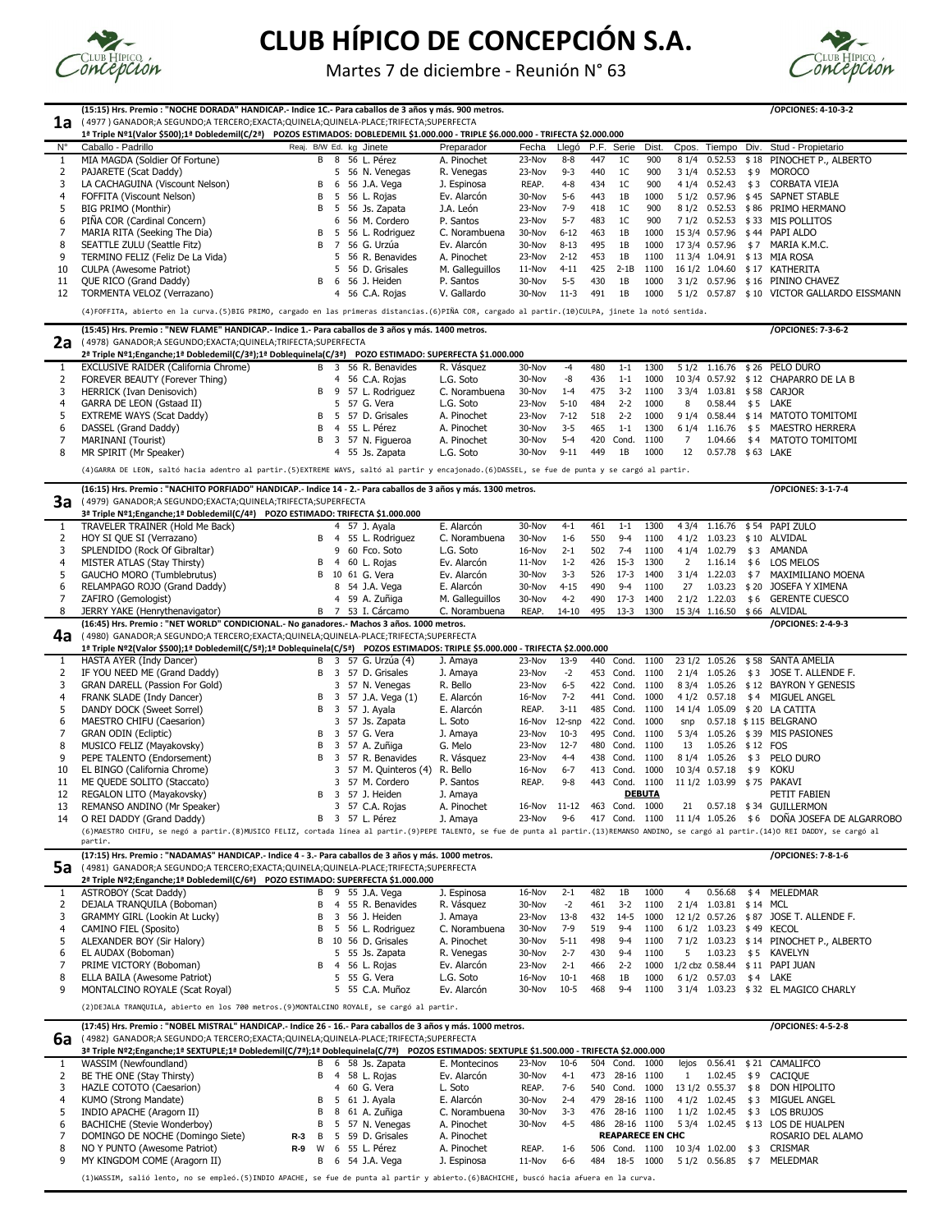13 REMANSO ANDINO (Mr Speaker) 3 57 C.A. Rojas A. Pinochet 16-Nov 11-12 463 Cond. 1000 21 0.57.18 \$34 GUILLERMON 14 O REI DADDY (Grand Daddy) B 3 57 L. Pérez J. Amaya 23-Nov 9-6 417 Cond. 1100 11 1/4 1.05.26 \$6 DOÑA JOSEFA DE ALGARROBO (6)MAESTRO CHIFU, se negó a partir.(8)MUSICO FELIZ, cortada línea al partir.(9)PEPE TALENTO, se fue de punta al partir.(13)REMANSO ANDINO, se cargó al partir.(14)O REI DADDY, se cargó al

|                | (15:15) Hrs. Premio : "NOCHE DORADA" HANDICAP.- Indice 1C.- Para caballos de 3 años y más. 900 metros.                                                                                    |    |     |                              |                 |        |           |     |                |               |                |                            |     |                                             |  |
|----------------|-------------------------------------------------------------------------------------------------------------------------------------------------------------------------------------------|----|-----|------------------------------|-----------------|--------|-----------|-----|----------------|---------------|----------------|----------------------------|-----|---------------------------------------------|--|
| 1a             | (4977) GANADOR;A SEGUNDO;A TERCERO;EXACTA;QUINELA;QUINELA-PLACE;TRIFECTA;SUPERFECTA                                                                                                       |    |     |                              |                 |        |           |     |                |               |                |                            |     |                                             |  |
|                | 1ª Triple Nº1(Valor \$500);1ª Dobledemil(C/2ª) POZOS ESTIMADOS: DOBLEDEMIL \$1.000.000 - TRIPLE \$6.000.000 - TRIFECTA \$2.000.000                                                        |    |     |                              |                 |        |           |     |                |               |                |                            |     |                                             |  |
| $N^{\circ}$    | Caballo - Padrillo                                                                                                                                                                        |    |     | Reaj. B/W Ed. kg Jinete      | Preparador      | Fecha  | Llegó     |     | P.F. Serie     | Dist.         | Cpos.          |                            |     | Tiempo Div. Stud - Propietario              |  |
| $\mathbf{1}$   | MIA MAGDA (Soldier Of Fortune)                                                                                                                                                            |    |     | $\overline{B}$ 8 56 L. Pérez | A. Pinochet     | 23-Nov | $8 - 8$   | 447 | 1 <sup>C</sup> | 900           |                |                            |     | 8 1/4 0.52.53 \$18 PINOCHET P., ALBERTO     |  |
| 2              | PAJARETE (Scat Daddy)                                                                                                                                                                     |    | 5.  | 56 N. Venegas                | R. Venegas      | 23-Nov | $9 - 3$   | 440 | 1 <sup>C</sup> | 900           |                | 3 1/4 0.52.53              | \$9 | <b>MOROCO</b>                               |  |
| 3              | LA CACHAGUINA (Viscount Nelson)                                                                                                                                                           | В  | -6  | 56 J.A. Vega                 | J. Espinosa     | REAP.  | $4 - 8$   | 434 | 1 <sup>C</sup> | 900           |                | 4 1/4 0.52.43              | \$3 | <b>CORBATA VIEJA</b>                        |  |
| 4              | FOFFITA (Viscount Nelson)                                                                                                                                                                 | Β  | 5   | 56 L. Rojas                  | Ev. Alarcón     | 30-Nov | $5-6$     | 443 | 1B             | 1000          |                |                            |     | 5 1/2 0.57.96 \$45 SAPNET STABLE            |  |
| 5              | <b>BIG PRIMO (Monthir)</b>                                                                                                                                                                | B  |     | 56 Js. Zapata                | J.A. León       | 23-Nov | $7-9$     | 418 | 1 <sup>C</sup> | 900           |                |                            |     | 8 1/2 0.52.53 \$86 PRIMO HERMANO            |  |
| 6              | PIÑA COR (Cardinal Concern)                                                                                                                                                               |    | 6   | 56 M. Cordero                | P. Santos       | 23-Nov | $5 - 7$   | 483 | 1 <sup>C</sup> | 900           |                |                            |     | 7 1/2 0.52.53 \$33 MIS POLLITOS             |  |
|                | MARIA RITA (Seeking The Dia)                                                                                                                                                              | В  |     | 56 L. Rodriguez              | C. Norambuena   | 30-Nov | $6 - 12$  | 463 | 1B             | 1000          |                |                            |     | 15 3/4 0.57.96 \$44 PAPI ALDO               |  |
| 8              | <b>SEATTLE ZULU (Seattle Fitz)</b>                                                                                                                                                        | B  |     | 56 G. Urzúa                  | Ev. Alarcón     | 30-Nov | $8 - 13$  | 495 | 1B             | 1000          |                | 17 3/4 0.57.96             |     | \$7 MARIA K.M.C.                            |  |
| 9              | TERMINO FELIZ (Feliz De La Vida)                                                                                                                                                          |    | 5.  | 56 R. Benavides              | A. Pinochet     | 23-Nov | $2 - 12$  | 453 | 1B             | 1100          |                |                            |     | 11 3/4 1.04.91 \$13 MIA ROSA                |  |
| 10             | <b>CULPA (Awesome Patriot)</b>                                                                                                                                                            |    | 5.  | 56 D. Grisales               | M. Galleguillos | 11-Nov | $4 - 11$  | 425 | $2-1B$         | 1100          |                |                            |     | 16 1/2 1.04.60 \$17 KATHERITA               |  |
| 11             | QUE RICO (Grand Daddy)                                                                                                                                                                    | В  | - 6 | 56 J. Heiden                 | P. Santos       | 30-Nov | $5 - 5$   | 430 | 1B             | 1000          |                |                            |     | 3 1/2 0.57.96 \$16 PININO CHAVEZ            |  |
| 12             | TORMENTA VELOZ (Verrazano)                                                                                                                                                                |    |     | 4 56 C.A. Rojas              | V. Gallardo     | 30-Nov | $11-3$    | 491 | 1B             | 1000          |                |                            |     | 5 1/2 0.57.87 \$10 VICTOR GALLARDO EISSMANN |  |
|                | (4)FOFFITA, abierto en la curva. (5)BIG PRIMO, cargado en las primeras distancias. (6)PIÑA COR, cargado al partir. (10)CULPA, jinete la notó sentida.                                     |    |     |                              |                 |        |           |     |                |               |                |                            |     |                                             |  |
|                | (15:45) Hrs. Premio : "NEW FLAME" HANDICAP.- Indice 1.- Para caballos de 3 años y más. 1400 metros.<br>/OPCIONES: 7-3-6-2                                                                 |    |     |                              |                 |        |           |     |                |               |                |                            |     |                                             |  |
| 2a             | (4978) GANADOR; A SEGUNDO; EXACTA; QUINELA; TRIFECTA; SUPERFECTA                                                                                                                          |    |     |                              |                 |        |           |     |                |               |                |                            |     |                                             |  |
|                | 2ª Triple Nº1;Enganche;1ª Dobledemil(C/3ª);1ª Doblequinela(C/3ª) POZO ESTIMADO: SUPERFECTA \$1.000.000                                                                                    |    |     |                              |                 |        |           |     |                |               |                |                            |     |                                             |  |
| 1              | <b>EXCLUSIVE RAIDER (California Chrome)</b>                                                                                                                                               |    |     | B 3 56 R. Benavides          | R. Vásquez      | 30-Nov | -4        | 480 | $1 - 1$        | 1300          |                | 5 1/2 1.16.76              |     | \$26 PELO DURO                              |  |
| 2              | FOREVER BEAUTY (Forever Thing)                                                                                                                                                            |    | 4   | 56 C.A. Rojas                | L.G. Soto       | 30-Nov | -8        | 436 | $1 - 1$        | 1000          |                |                            |     | 10 3/4 0.57.92 \$12 CHAPARRO DE LA B        |  |
| 3              | HERRICK (Ivan Denisovich)                                                                                                                                                                 | B. |     | 57 L. Rodriguez              | C. Norambuena   | 30-Nov | $1 - 4$   | 475 | $3 - 2$        | 1100          |                |                            |     | 3 3/4 1.03.81 \$58 CARJOR                   |  |
| $\overline{4}$ | GARRA DE LEON (Gstaad II)                                                                                                                                                                 |    | 5.  | 57 G. Vera                   | L.G. Soto       | 23-Nov | $5 - 10$  | 484 | $2 - 2$        | 1000          | 8              | 0.58.44                    |     | \$5 LAKE                                    |  |
| 5              | <b>EXTREME WAYS (Scat Daddy)</b>                                                                                                                                                          | В  |     | 57 D. Grisales               | A. Pinochet     | 23-Nov | $7 - 12$  | 518 | $2 - 2$        | 1000          | 91/4           |                            |     | 0.58.44 \$14 MATOTO TOMITOMI                |  |
| 6              | DASSEL (Grand Daddy)                                                                                                                                                                      | B  |     | 4 55 L. Pérez                | A. Pinochet     | 30-Nov | $3 - 5$   | 465 | $1 - 1$        | 1300          |                | 6 1/4 1.16.76              | \$5 | <b>MAESTRO HERRERA</b>                      |  |
|                | MARINANI (Tourist)                                                                                                                                                                        | B  | -3  | 57 N. Figueroa               | A. Pinochet     | 30-Nov | $5 - 4$   | 420 | Cond.          | 1100          | 7              | 1.04.66                    | \$4 | MATOTO TOMITOMI                             |  |
| 8              | MR SPIRIT (Mr Speaker)                                                                                                                                                                    |    |     | 4 55 Js. Zapata              | L.G. Soto       | 30-Nov | $9 - 11$  | 449 | 1B             | 1000          | 12             | 0.57.78 \$63 LAKE          |     |                                             |  |
|                | (4)GARRA DE LEON, saltó hacia adentro al partir.(5)EXTREME WAYS, saltó al partir y encajonado.(6)DASSEL, se fue de punta y se cargó al partir.                                            |    |     |                              |                 |        |           |     |                |               |                |                            |     |                                             |  |
|                |                                                                                                                                                                                           |    |     |                              |                 |        |           |     |                |               |                |                            |     | /OPCIONES: 3-1-7-4                          |  |
|                | (16:15) Hrs. Premio : "NACHITO PORFIADO" HANDICAP.- Indice 14 - 2.- Para caballos de 3 años y más. 1300 metros.<br>3a<br>(4979) GANADOR; A SEGUNDO; EXACTA; QUINELA; TRIFECTA; SUPERFECTA |    |     |                              |                 |        |           |     |                |               |                |                            |     |                                             |  |
|                | 3ª Triple Nº1;Enganche;1ª Dobledemil(C/4ª) POZO ESTIMADO: TRIFECTA \$1.000.000                                                                                                            |    |     |                              |                 |        |           |     |                |               |                |                            |     |                                             |  |
| 1              | TRAVELER TRAINER (Hold Me Back)                                                                                                                                                           |    |     | 4 57 J. Ayala                | E. Alarcón      | 30-Nov | $4 - 1$   | 461 | $1 - 1$        | 1300          |                |                            |     | 4 3/4 1.16.76 \$54 PAPI ZULO                |  |
| 2              | HOY SI QUE SI (Verrazano)                                                                                                                                                                 | B. |     | 55 L. Rodriguez              | C. Norambuena   | 30-Nov | $1 - 6$   | 550 | $9 - 4$        | 1100          | 41/2           | 1.03.23                    |     | \$10 ALVIDAL                                |  |
| 3              | SPLENDIDO (Rock Of Gibraltar)                                                                                                                                                             |    | 9   | 60 Fco. Soto                 | L.G. Soto       | 16-Nov | $2 - 1$   | 502 | $7 - 4$        | 1100          |                | 4 1/4 1.02.79              | \$3 | <b>AMANDA</b>                               |  |
| 4              | MISTER ATLAS (Stay Thirsty)                                                                                                                                                               | В  |     | 60 L. Rojas                  | Ev. Alarcón     | 11-Nov | $1 - 2$   | 426 | $15-3$         | 1300          | $\overline{2}$ | 1.16.14                    | \$6 | <b>LOS MELOS</b>                            |  |
| 5              | GAUCHO MORO (Tumblebrutus)                                                                                                                                                                | В  |     | 10 61 G. Vera                | Ev. Alarcón     | 30-Nov | $3 - 3$   | 526 | $17-3$         | 1400          | 31/4           | 1.22.03                    | \$7 | MAXIMILIANO MOENA                           |  |
| 6              | RELAMPAGO ROJO (Grand Daddy)                                                                                                                                                              |    | 8   | 54 J.A. Vega                 | E. Alarcón      | 30-Nov | $4 - 15$  | 490 | $9 - 4$        | 1100          | 27             | 1.03.23                    |     | \$20 JOSEFA Y XIMENA                        |  |
|                | ZAFIRO (Gemologist)                                                                                                                                                                       |    | 4   | 59 A. Zuñiga                 | M. Gallequillos | 30-Nov | $4 - 2$   | 490 | $17-3$         | 1400          |                | 2 1/2 1.22.03              |     | \$6 GERENTE CUESCO                          |  |
| 8              | JERRY YAKE (Henrythenavigator)                                                                                                                                                            | B  | - 7 | 53 I. Cárcamo                | C. Norambuena   | REAP.  | $14 - 10$ | 495 | $13-3$         | 1300          |                |                            |     | 15 3/4 1.16.50 \$66 ALVIDAL                 |  |
|                | (16:45) Hrs. Premio : "NET WORLD" CONDICIONAL.- No ganadores.- Machos 3 años. 1000 metros.                                                                                                |    |     |                              |                 |        |           |     |                |               |                |                            |     | /OPCIONES: 2-4-9-3                          |  |
| 4a             | (4980) GANADOR;A SEGUNDO;A TERCERO;EXACTA;QUINELA;QUINELA-PLACE;TRIFECTA;SUPERFECTA                                                                                                       |    |     |                              |                 |        |           |     |                |               |                |                            |     |                                             |  |
|                | 1ª Triple Nº2(Valor \$500);1ª Dobledemil(C/5ª);1ª Doblequinela(C/5ª) POZOS ESTIMADOS: TRIPLE \$5.000.000 - TRIFECTA \$2.000.000                                                           |    |     |                              |                 |        |           |     |                |               |                |                            |     |                                             |  |
| 1              | HASTA AYER (Indy Dancer)                                                                                                                                                                  |    |     | B 3 57 G. Urzúa (4)          | J. Amaya        | 23-Nov | $13-9$    | 440 | Cond.          | 1100          |                |                            |     | 23 1/2 1.05.26 \$58 SANTA AMELIA            |  |
| 2              | IF YOU NEED ME (Grand Daddy)                                                                                                                                                              | B  | -3  | 57 D. Grisales               | J. Amaya        | 23-Nov | $-2$      |     | 453 Cond.      | 1100          |                | 2 1/4 1.05.26              | \$3 | JOSE T. ALLENDE F.                          |  |
| 3              | <b>GRAN DARELL (Passion For Gold)</b>                                                                                                                                                     |    | 3   | 57 N. Venegas                | R. Bello        | 23-Nov | $6 - 5$   |     | 422 Cond.      | 1100          |                |                            |     | 8 3/4 1.05.26 \$12 BAYRON Y GENESIS         |  |
| 4              | FRANK SLADE (Indy Dancer)                                                                                                                                                                 | В  |     | 57 J.A. Vega (1)             | E. Alarcón      | 16-Nov | $7 - 2$   |     | 441 Cond.      | 1000          |                | $41/2$ 0.57.18 \$4         |     | <b>MIGUEL ANGEL</b>                         |  |
| 5              | DANDY DOCK (Sweet Sorrel)                                                                                                                                                                 | B. | 3   | 57 J. Ayala                  | E. Alarcón      | REAP.  | $3 - 11$  |     | 485 Cond.      | 1100          |                |                            |     | 14 1/4 1.05.09 \$20 LA CATITA               |  |
| 6              | MAESTRO CHIFU (Caesarion)                                                                                                                                                                 |    |     | 57 Js. Zapata                | L. Soto         | 16-Nov | 12-snp    |     | 422 Cond.      | 1000          | snp            |                            |     | 0.57.18 \$115 BELGRANO                      |  |
|                | <b>GRAN ODIN (Ecliptic)</b>                                                                                                                                                               | В  |     | 57 G. Vera                   | J. Amaya        | 23-Nov | $10-3$    |     | 495 Cond.      | 1100          | 53/4           |                            |     | 1.05.26 \$39 MIS PASIONES                   |  |
| 8              | MUSICO FELIZ (Mayakovsky)                                                                                                                                                                 | Β  |     | 57 A. Zuñiga                 | G. Melo         | 23-Nov | $12 - 7$  |     | 480 Cond.      | 1100          | 13             | 1.05.26 \$12 FOS           |     |                                             |  |
| 9              | PEPE TALENTO (Endorsement)                                                                                                                                                                | B  | 3   | 57 R. Benavides              | R. Vásquez      | 23-Nov | 4-4       | 438 | Cond.          | 1100          |                | 8 1/4 1.05.26              | \$3 | PELO DURO                                   |  |
| 10             | EL BINGO (California Chrome)                                                                                                                                                              |    | 3   | 57 M. Quinteros (4)          | R. Bello        | 16-Nov | $6 - 7$   | 413 | Cond.          | 1000          |                | 10 3/4 0.57.18             | \$9 | <b>KOKU</b>                                 |  |
| 11             | ME QUEDE SOLITO (Staccato)                                                                                                                                                                |    | 3.  | 57 M. Cordero                | P. Santos       | REAP.  | $9 - 8$   |     | 443 Cond. 1100 |               |                | 11 1/2 1.03.99 \$75 PAKAVI |     |                                             |  |
| 12             | REGALON LITO (Mayakovsky)                                                                                                                                                                 | B. | -3  | 57 J. Heiden                 | J. Amaya        |        |           |     |                | <b>DEBUTA</b> |                |                            |     | PETIT FABIEN                                |  |
|                | $MCA$ ANDINO $(Mu)$ $C_{max}$                                                                                                                                                             |    |     |                              |                 |        |           |     |                | 1000          |                |                            |     | $C[$ $I[1]$ $I[$ $C[0]$ $A[0]$              |  |

#### **(17:15) Hrs. Premio : "NADAMAS" HANDICAP.- Indice 4 - 3.- Para caballos de 3 años y más. 1000 metros. /OPCIONES: 7-8-1-6**

5a (4981) GANADOR;A SEGUNDO;A TERCERO;EXACTA;QUINELA;QUINELA-PLACE;TRIFECTA;SUPERFECTA

**2ª Triple Nº2;Enganche;1ª Dobledemil(C/6ª) POZO ESTIMADO: SUPERFECTA \$1.000.000**

|   | .                                    |  |                     |               |        |          |     |         |      |       |                          |     |                                          |
|---|--------------------------------------|--|---------------------|---------------|--------|----------|-----|---------|------|-------|--------------------------|-----|------------------------------------------|
|   | ASTROBOY (Scat Daddy)                |  | B 9 55 J.A. Vega    | J. Espinosa   | 16-Nov | $2 - 1$  | 482 | 1B      | 1000 | 4     | 0.56.68                  | \$4 | MELEDMAR                                 |
| 2 | DEJALA TRANQUILA (Boboman)           |  | B 4 55 R. Benavides | R. Vásquez    | 30-Nov | $-2$     | 461 | $3-2$   | 1100 | 2 1/4 | 1.03.81 \$14 MCL         |     |                                          |
| 3 | <b>GRAMMY GIRL (Lookin At Lucky)</b> |  | B 3 56 J. Heiden    | J. Amaya      | 23-Nov | 13-8     | 432 | 14-5    | 1000 |       |                          |     | 12 1/2 0.57.26 \$87 JOSE T. ALLENDE F.   |
| 4 | CAMINO FIEL (Sposito)                |  | B 5 56 L. Rodriguez | C. Norambuena | 30-Nov | 7-9      | 519 | 9-4     | 1100 |       | 6 1/2 1.03.23 \$49 KECOL |     |                                          |
| 5 | ALEXANDER BOY (Sir Halory)           |  | B 10 56 D. Grisales | A. Pinochet   | 30-Nov | $5 - 11$ | 498 | 9-4     | 1100 |       |                          |     | 7 1/2 1.03.23 \$ 14 PINOCHET P., ALBERTO |
|   | 6 EL AUDAX (Boboman)                 |  | 5 55 Js. Zapata     | R. Venegas    | 30-Nov | $2 - 7$  | 430 | 9-4     | 1100 | -5    |                          |     |                                          |
|   | PRIME VICTORY (Boboman)              |  | B 4 56 L. Rojas     | Ev. Alarcón   | 23-Nov | $2 - 1$  | 466 | $2 - 2$ | 1000 |       |                          |     | 1/2 cbz 0.58.44 \$11 PAPI JUAN           |
| 8 | ELLA BAILA (Awesome Patriot)         |  | 5 55 G. Vera        | L.G. Soto     | 16-Nov | $10-1$   | 468 | 1B      | 1000 |       | 6 1/2 0.57.03            |     | \$4 LAKE                                 |
| 9 | MONTALCINO ROYALE (Scat Royal)       |  | 5 55 C.A. Muñoz     | Ev. Alarcón   | 30-Nov | $10-5$   | 468 | 9-4     | 1100 |       |                          |     | 3 1/4 1.03.23 \$32 EL MAGICO CHARLY      |

| 6a |                                                                                                                                           | (17:45) Hrs. Premio : "NOBEL MISTRAL" HANDICAP.- Indice 26 - 16.- Para caballos de 3 años y más. 1000 metros.<br>/OPCIONES: 4-5-2-8 |    |     |                   |               |          |         |     |                   |      |       |                |      |                     |  |
|----|-------------------------------------------------------------------------------------------------------------------------------------------|-------------------------------------------------------------------------------------------------------------------------------------|----|-----|-------------------|---------------|----------|---------|-----|-------------------|------|-------|----------------|------|---------------------|--|
|    | 4982) GANADOR;A SEGUNDO;A TERCERO;EXACTA;QUINELA;QUINELA-PLACE;TRIFECTA;SUPERFECTA                                                        |                                                                                                                                     |    |     |                   |               |          |         |     |                   |      |       |                |      |                     |  |
|    | 3ª Triple Nº2;Enganche;1ª SEXTUPLE;1ª Dobledemil(C/7ª);1ª Doblequinela(C/7ª) POZOS ESTIMADOS: SEXTUPLE \$1.500.000 - TRIFECTA \$2.000.000 |                                                                                                                                     |    |     |                   |               |          |         |     |                   |      |       |                |      |                     |  |
|    | WASSIM (Newfoundland)                                                                                                                     |                                                                                                                                     |    | B 6 | 58 Js. Zapata     | E. Montecinos | $23-Nov$ | $10-6$  |     | 504 Cond.         | 1000 | lejos | 0.56.41        | \$21 | CAMALIFCO           |  |
| 2  | BE THE ONE (Stay Thirsty)                                                                                                                 |                                                                                                                                     |    | B 4 | 58 L. Rojas       | Ev. Alarcón   | 30-Nov   | $4 - 1$ | 473 | 28-16             | 1100 |       | 1.02.45        | \$9  | <b>CACIOUE</b>      |  |
| 3  | HAZLE COTOTO (Caesarion)                                                                                                                  |                                                                                                                                     |    |     | 4 60 G. Vera      | L. Soto       | REAP.    | 7-6     | 540 | Cond.             | 1000 |       | 13 1/2 0.55.37 | \$8  | DON HIPOLITO        |  |
|    | KUMO (Strong Mandate)                                                                                                                     |                                                                                                                                     |    |     | B 5 61 J. Ayala   | E. Alarcón    | 30-Nov   | $2 - 4$ | 479 | 28-16             | 1100 | 41/2  | 1.02.45        | \$3  | <b>MIGUEL ANGEL</b> |  |
| 5. | INDIO APACHE (Aragorn II)                                                                                                                 |                                                                                                                                     |    |     | B 8 61 A. Zuñiga  | C. Norambuena | 30-Nov   | $3 - 3$ | 476 | 28-16             | 1100 | 11/2  | 1.02.45        | \$3  | LOS BRUJOS          |  |
| 6. | <b>BACHICHE (Stevie Wonderboy)</b>                                                                                                        |                                                                                                                                     |    |     | B 5 57 N. Venegas | A. Pinochet   | 30-Nov   | $4 - 5$ | 486 | 28-16             | 1100 | 53/4  | 1.02.45        |      | \$13 LOS DE HUALPEN |  |
|    | DOMINGO DE NOCHE (Domingo Siete)                                                                                                          | $R-3$                                                                                                                               | -B |     | 5 59 D. Grisales  | A. Pinochet   |          |         |     | ROSARIO DEL ALAMO |      |       |                |      |                     |  |
| 8  | NO Y PUNTO (Awesome Patriot)                                                                                                              | $R-9$                                                                                                                               | W  |     | 6 55 L. Pérez     | A. Pinochet   | REAP.    | 1-6     | 506 | Cond.             | 1100 |       | 10 3/4 1.02.00 | \$3  | <b>CRISMAR</b>      |  |
|    | MY KINGDOM COME (Aragorn II)                                                                                                              |                                                                                                                                     |    | B 6 | 54 J.A. Vega      | J. Espinosa   | 11-Nov   | $6-6$   | 484 | $18-5$            | 1000 | 51/2  | 0.56.85        | \$7  | MELEDMAR            |  |



# **CLUB HÍPICO DE CONCEPCIÓN S.A.**

Martes 7 de diciembre - Reunión N° 63



partir.

(2)DEJALA TRANQUILA, abierto en los 700 metros.(9)MONTALCINO ROYALE, se cargó al partir.

 $\blacksquare$ 

(1)WASSIM, salió lento, no se empleó.(5)INDIO APACHE, se fue de punta al partir y abierto.(6)BACHICHE, buscó hacia afuera en la curva.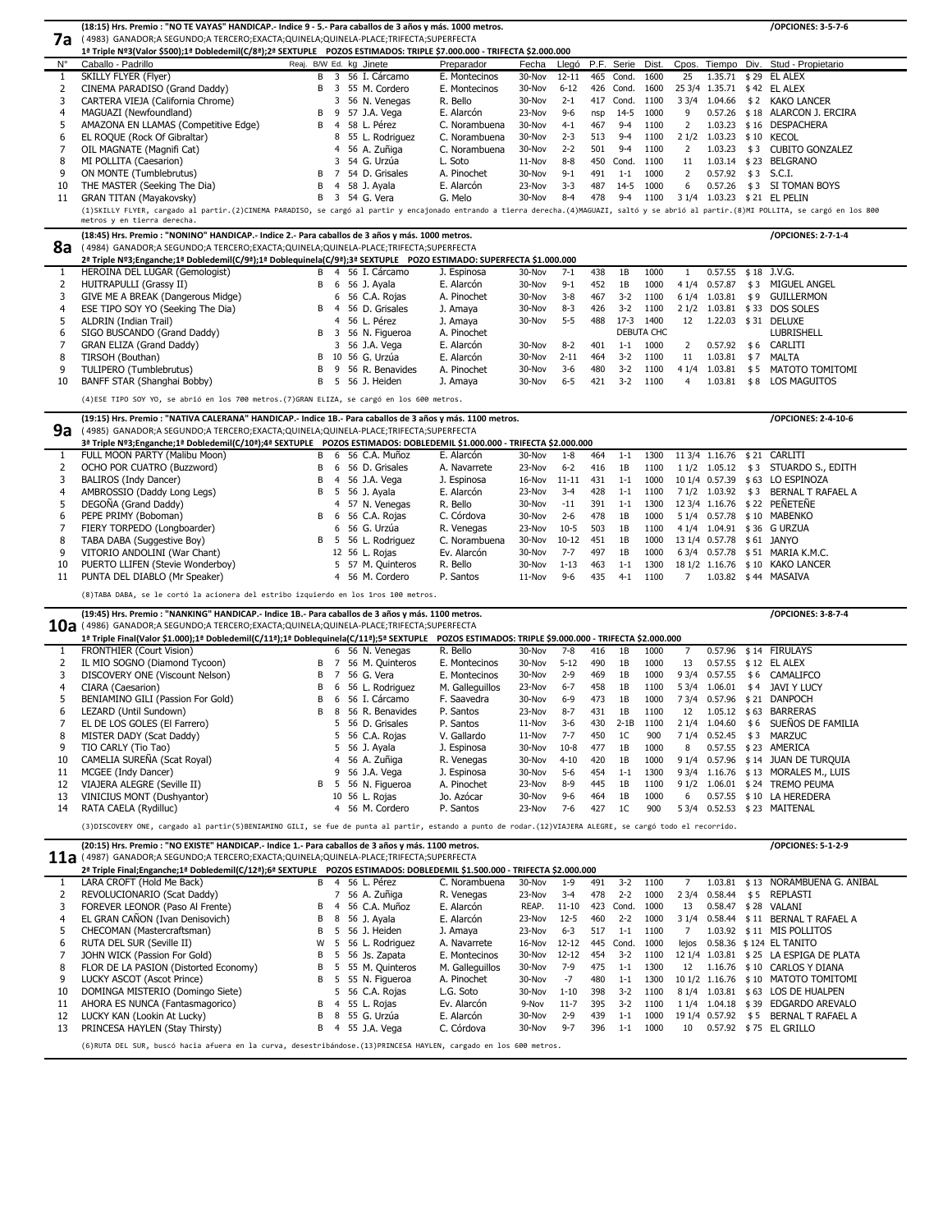|             | (18:15) Hrs. Premio : "NO TE VAYAS" HANDICAP.- Indice 9 - 5.- Para caballos de 3 años y más. 1000 metros.                                                                                  |                                 |                 |        |           |     |                |            |                 |                     |     | /OPCIONES: 3-5-7-6             |
|-------------|--------------------------------------------------------------------------------------------------------------------------------------------------------------------------------------------|---------------------------------|-----------------|--------|-----------|-----|----------------|------------|-----------------|---------------------|-----|--------------------------------|
| 7a          | ( 4983)  GANADOR;A SEGUNDO;A TERCERO;EXACTA;QUINELA;QUINELA-PLACE;TRIFECTA;SUPERFECTA                                                                                                      |                                 |                 |        |           |     |                |            |                 |                     |     |                                |
|             | 1ª Triple Nº3(Valor \$500);1ª Dobledemil(C/8ª);2ª SEXTUPLE POZOS ESTIMADOS: TRIPLE \$7.000.000 - TRIFECTA \$2.000.000                                                                      |                                 |                 |        |           |     |                |            |                 |                     |     |                                |
| $N^{\circ}$ | Caballo - Padrillo                                                                                                                                                                         | Reaj. B/W Ed. kg Jinete         | Preparador      | Fecha  | Llegó     |     | P.F. Serie     | Dist.      | Cpos.           |                     |     | Tiempo Div. Stud - Propietario |
| 1           | <b>SKILLY FLYER (Flyer)</b>                                                                                                                                                                | 3 56 I. Cárcamo<br>B            | E. Montecinos   | 30-Nov | $12 - 11$ |     | 465 Cond.      | 1600       | 25              |                     |     | 1.35.71 \$29 EL ALEX           |
| 2           | CINEMA PARADISO (Grand Daddy)                                                                                                                                                              | 55 M. Cordero<br>B<br>3         | E. Montecinos   | 30-Nov | $6 - 12$  | 426 | Cond.          | 1600       |                 |                     |     | 25 3/4 1.35.71 \$42 EL ALEX    |
| 3           | CARTERA VIEJA (California Chrome)                                                                                                                                                          | 3.<br>56 N. Venegas             | R. Bello        | 30-Nov | $2 - 1$   | 417 | Cond.          | 1100       | $3 \frac{3}{4}$ | 1.04.66             |     | \$2 KAKO LANCER                |
| 4           | MAGUAZI (Newfoundland)                                                                                                                                                                     | 57 J.A. Vega<br>B<br>9          | E. Alarcón      | 23-Nov | $9 - 6$   | nsp | $14-5$         | 1000       | 9               | 0.57.26             |     | \$18 ALARCON J. ERCIRA         |
| 5           | AMAZONA EN LLAMAS (Competitive Edge)                                                                                                                                                       | 58 L. Pérez<br>B<br>4           | C. Norambuena   | 30-Nov | $4 - 1$   | 467 | $9 - 4$        | 1100       | 2               | 1.03.23             |     | \$16 DESPACHERA                |
| 6           | EL ROQUE (Rock Of Gibraltar)                                                                                                                                                               | 8 55 L. Rodriguez               | C. Norambuena   | 30-Nov | $2 - 3$   | 513 | $9 - 4$        | 1100       | 21/2            | 1.03.23             |     | \$10 KECOL                     |
|             | OIL MAGNATE (Magnifi Cat)                                                                                                                                                                  | 56 A. Zuñiga<br>4               | C. Norambuena   | 30-Nov | $2 - 2$   | 501 | $9 - 4$        | 1100       | $\overline{2}$  | 1.03.23             |     | \$3 CUBITO GONZALEZ            |
| 8           | MI POLLITA (Caesarion)                                                                                                                                                                     | 54 G. Urzúa<br>3                | L. Soto         | 11-Nov | $8 - 8$   |     | 450 Cond.      | 1100       | 11              |                     |     | 1.03.14 \$23 BELGRANO          |
| 9           | ON MONTE (Tumblebrutus)                                                                                                                                                                    | 54 D. Grisales<br>B             | A. Pinochet     | 30-Nov | $9 - 1$   | 491 | $1 - 1$        | 1000       | 2               | 0.57.92             | \$3 | S.C.I.                         |
| 10          | THE MASTER (Seeking The Dia)                                                                                                                                                               | 58 J. Ayala<br>в<br>4           | E. Alarcón      | 23-Nov | $3 - 3$   | 487 | $14-5$         | 1000       | 6               | 0.57.26             |     | \$3 SI TOMAN BOYS              |
| 11          | <b>GRAN TITAN (Mayakovsky)</b>                                                                                                                                                             | 3 54 G. Vera<br>B               | G. Melo         | 30-Nov | $8 - 4$   | 478 | $9 - 4$        | 1100       | 31/4            |                     |     | 1.03.23 \$21 EL PELIN          |
|             | (1)SKILLY FLYER, cargado al partir.(2)CINEMA PARADISO, se cargó al partir y encajonado entrando a tierra derecha.(4)MAGUAZI, saltó y se abrió al partir.(8)MI POLLITA, se cargó en los 800 |                                 |                 |        |           |     |                |            |                 |                     |     |                                |
|             | metros y en tierra derecha.                                                                                                                                                                |                                 |                 |        |           |     |                |            |                 |                     |     |                                |
|             | (18:45) Hrs. Premio : "NONINO" HANDICAP.- Indice 2.- Para caballos de 3 años y más. 1000 metros.                                                                                           |                                 |                 |        |           |     |                |            |                 |                     |     | /OPCIONES: 2-7-1-4             |
| 8a          | (4984) GANADOR;A SEGUNDO;A TERCERO;EXACTA;QUINELA;QUINELA-PLACE;TRIFECTA;SUPERFECTA                                                                                                        |                                 |                 |        |           |     |                |            |                 |                     |     |                                |
|             | 2ª Triple Nº3;Enganche;1ª Dobledemil(C/9ª);1ª Doblequinela(C/9ª);3ª SEXTUPLE POZO ESTIMADO: SUPERFECTA \$1.000.000                                                                         |                                 |                 |        |           |     |                |            |                 |                     |     |                                |
|             | HEROINA DEL LUGAR (Gemologist)                                                                                                                                                             | B 4 56 I. Cárcamo               | J. Espinosa     | 30-Nov | $7 - 1$   | 438 | 1B             | 1000       | -1              | 0.57.55 \$18 J.V.G. |     |                                |
| 2           | <b>HUITRAPULLI (Grassy II)</b>                                                                                                                                                             | 56 J. Ayala<br>B<br>6           | E. Alarcón      | 30-Nov | $9 - 1$   | 452 | 1B             | 1000       | 41/4            | 0.57.87             | \$3 | MIGUEL ANGEL                   |
| 3           | GIVE ME A BREAK (Dangerous Midge)                                                                                                                                                          | 56 C.A. Rojas<br>6              | A. Pinochet     | 30-Nov | $3 - 8$   | 467 | $3 - 2$        | 1100       |                 | 6 1/4 1.03.81       | \$9 | <b>GUILLERMON</b>              |
| 4           | ESE TIPO SOY YO (Seeking The Dia)                                                                                                                                                          | 56 D. Grisales<br>B<br>-4       | J. Amaya        | 30-Nov | $8 - 3$   | 426 | $3 - 2$        | 1100       |                 |                     |     | 2 1/2 1.03.81 \$33 DOS SOLES   |
| 5           | ALDRIN (Indian Trail)                                                                                                                                                                      | 56 L. Pérez<br>4                | J. Amaya        | 30-Nov | $5-5$     | 488 | $17-3$         | 1400       | 12              |                     |     | 1.22.03 \$31 DELUXE            |
| 6           | SIGO BUSCANDO (Grand Daddy)                                                                                                                                                                | 56 N. Figueroa<br>B<br>3        | A. Pinochet     |        |           |     |                | DEBUTA CHC |                 |                     |     | <b>LUBRISHELL</b>              |
|             | GRAN ELIZA (Grand Daddy)                                                                                                                                                                   | 3 56 J.A. Vega                  | E. Alarcón      | 30-Nov | $8 - 2$   | 401 | $1 - 1$        | 1000       | 2               | 0.57.92             |     | \$6 CARLITI                    |
| 8           | TIRSOH (Bouthan)                                                                                                                                                                           | 10 56 G. Urzúa<br>B             | E. Alarcón      | 30-Nov | $2 - 11$  | 464 | $3 - 2$        | 1100       | 11              | 1.03.81             | \$7 | <b>MALTA</b>                   |
| 9           | TULIPERO (Tumblebrutus)                                                                                                                                                                    | 9 56 R. Benavides<br>B          | A. Pinochet     | 30-Nov | $3-6$     | 480 | $3-2$          | 1100       | 41/4            | 1.03.81             |     | \$5 MATOTO TOMITOMI            |
| 10          | BANFF STAR (Shanghai Bobby)                                                                                                                                                                | B<br>56 J. Heiden<br>5          | J. Amaya        | 30-Nov | $6 - 5$   | 421 | $3 - 2$        | 1100       | 4               | 1.03.81             | \$8 | <b>LOS MAGUITOS</b>            |
|             | (4)ESE TIPO SOY YO, se abrió en los 700 metros. (7)GRAN ELIZA, se cargó en los 600 metros.                                                                                                 |                                 |                 |        |           |     |                |            |                 |                     |     |                                |
|             |                                                                                                                                                                                            |                                 |                 |        |           |     |                |            |                 |                     |     |                                |
|             | (19:15) Hrs. Premio : "NATIVA CALERANA" HANDICAP.- Indice 1B.- Para caballos de 3 años y más. 1100 metros.                                                                                 |                                 |                 |        |           |     |                |            |                 |                     |     | /OPCIONES: 2-4-10-6            |
| 9a          | 4985) GANADOR;A SEGUNDO;A TERCERO;EXACTA;QUINELA;QUINELA-PLACE;TRIFECTA;SUPERFECTA)                                                                                                        |                                 |                 |        |           |     |                |            |                 |                     |     |                                |
|             | 3ª Triple №3;Enganche;1ª Dobledemil(C/10ª);4ª SEXTUPLE POZOS ESTIMADOS: DOBLEDEMIL \$1.000.000 - TRIFECTA \$2.000.000<br>FULL MOON PARTY (Malibu Moon)                                     | 56 C.A. Muñoz<br>B<br>6         | E. Alarcón      | 30-Nov | $1 - 8$   | 464 | $1 - 1$        | 1300       |                 | 11 3/4 1.16.76      |     | \$21 CARLITI                   |
| 2           | OCHO POR CUATRO (Buzzword)                                                                                                                                                                 | 56 D. Grisales<br>B<br>6        | A. Navarrete    | 23-Nov | $6 - 2$   | 416 | 1B             | 1100       |                 | 1 1/2 1.05.12       | \$3 | STUARDO S., EDITH              |
| 3           | <b>BALIROS (Indy Dancer)</b>                                                                                                                                                               | 56 J.A. Vega<br>B<br>4          | J. Espinosa     | 16-Nov | $11 - 11$ | 431 | $1 - 1$        | 1000       |                 | 10 1/4 0.57.39      |     | \$63 LO ESPINOZA               |
| 4           | AMBROSSIO (Daddy Long Legs)                                                                                                                                                                | 56 J. Ayala<br>5<br>B           | E. Alarcón      | 23-Nov | $3 - 4$   | 428 | $1 - 1$        | 1100       |                 | 7 1/2 1.03.92       | \$3 | <b>BERNAL T RAFAEL A</b>       |
| 5           | DEGOÑA (Grand Daddy)                                                                                                                                                                       | 57 N. Venegas<br>4              | R. Bello        | 30-Nov | $-11$     | 391 | $1 - 1$        | 1300       |                 | 12 3/4 1.16.76      |     | \$22 PEÑETEÑE                  |
| 6           | PEPE PRIMY (Boboman)                                                                                                                                                                       | 56 C.A. Rojas<br>B<br>6         | C. Córdova      | 30-Nov | $2 - 6$   | 478 | 1B             | 1000       |                 | 5 1/4 0.57.78       |     | \$10 MABENKO                   |
|             | FIERY TORPEDO (Longboarder)                                                                                                                                                                | 6 56 G. Urzúa                   | R. Venegas      | 23-Nov | $10-5$    | 503 | 1B             | 1100       |                 | 4 1/4 1.04.91       |     | \$36 G URZUA                   |
| 8           | TABA DABA (Suggestive Boy)                                                                                                                                                                 | B<br>56 L. Rodriguez<br>-5      | C. Norambuena   | 30-Nov | $10 - 12$ | 451 | 1B             | 1000       |                 | 13 1/4 0.57.78      |     | \$61 JANYO                     |
| 9           | VITORIO ANDOLINI (War Chant)                                                                                                                                                               | 12 56 L. Rojas                  | Ev. Alarcón     | 30-Nov | $7 - 7$   | 497 | 1B             | 1000       |                 | 6 3/4 0.57.78       |     | \$51 MARIA K.M.C.              |
| 10          | PUERTO LLIFEN (Stevie Wonderboy)                                                                                                                                                           | 5 57 M. Quinteros               | R. Bello        | 30-Nov | $1 - 13$  | 463 | $1 - 1$        | 1300       |                 | 18 1/2 1.16.76      |     | \$10 KAKO LANCER               |
| 11          | PUNTA DEL DIABLO (Mr Speaker)                                                                                                                                                              | 4 56 M. Cordero                 | P. Santos       | 11-Nov | $9 - 6$   | 435 | $4 - 1$        | 1100       | 7               |                     |     | 1.03.82 \$44 MASAIVA           |
|             |                                                                                                                                                                                            |                                 |                 |        |           |     |                |            |                 |                     |     |                                |
|             | (8) TABA DABA, se le cortó la acionera del estribo izquierdo en los 1ros 100 metros.                                                                                                       |                                 |                 |        |           |     |                |            |                 |                     |     |                                |
|             | (19:45) Hrs. Premio : "NANKING" HANDICAP.- Indice 1B.- Para caballos de 3 años y más. 1100 metros.                                                                                         |                                 |                 |        |           |     |                |            |                 |                     |     | /OPCIONES: 3-8-7-4             |
|             | $10a$ (4986) GANADOR;A SEGUNDO;A TERCERO;EXACTA;QUINELA;QUINELA-PLACE;TRIFECTA;SUPERFECTA                                                                                                  |                                 |                 |        |           |     |                |            |                 |                     |     |                                |
|             | 1ª Triple Final(Valor \$1.000);1ª Dobledemil(C/11ª);1ª Doblequinela(C/11ª);5ª SEXTUPLE POZOS ESTIMADOS: TRIPLE \$9.000.000 - TRIFECTA \$2.000.000                                          |                                 |                 |        |           |     |                |            |                 |                     |     |                                |
|             | <b>FRONTHIER (Court Vision)</b>                                                                                                                                                            | 6 56 N. Venegas                 | R. Bello        | 30-Nov | 7-8       | 416 | 1B             | 1000       | 7               | 0.57.96             |     | \$14 FIRULAYS                  |
| 2           | IL MIO SOGNO (Diamond Tycoon)                                                                                                                                                              | 56 M. Quinteros<br>B            | E. Montecinos   | 30-Nov | $5 - 12$  | 490 | 1B             | 1000       | 13              | 0.57.55             |     | \$12 EL ALEX                   |
| 3           | DISCOVERY ONE (Viscount Nelson)                                                                                                                                                            | В<br>56 G. Vera                 | E. Montecinos   | 30-Nov | $2 - 9$   | 469 | 1B             | 1000       | 93/4            | 0.57.55             | \$6 | <b>CAMALIFCO</b>               |
| 4           | CIARA (Caesarion)                                                                                                                                                                          | 56 L. Rodriguez<br>6            | M. Galleguillos | 23-Nov | $6 - 7$   | 458 | 1B             | 1100       | 53/4            | 1.06.01             | \$4 | <b>JAVI Y LUCY</b>             |
| 5           | BENIAMINO GILI (Passion For Gold)                                                                                                                                                          | 6<br>56 I. Cárcamo<br>B         | F. Saavedra     | 30-Nov | $6-9$     | 473 | 1B             | 1000       | 73/4            | 0.57.96             |     | \$21 DANPOCH                   |
| 6           | LEZARD (Until Sundown)                                                                                                                                                                     | 56 R. Benavides<br>B<br>8       | P. Santos       | 23-Nov | $8 - 7$   | 431 | 1B             | 1100       | 12              | 1.05.12             |     | \$63 BARRERAS                  |
|             | EL DE LOS GOLES (El Farrero)                                                                                                                                                               | 56 D. Grisales<br>5.            | P. Santos       | 11-Nov | $3-6$     | 430 | $2-1B$         | 1100       | 21/4            | 1.04.60             | \$6 | SUEÑOS DE FAMILIA              |
| 8           | MISTER DADY (Scat Daddy)                                                                                                                                                                   | 56 C.A. Rojas<br>5.             | V. Gallardo     | 11-Nov | $7 - 7$   | 450 | 1 <sup>C</sup> | 900        |                 | 7 1/4 0.52.45       | \$3 | <b>MARZUC</b>                  |
| 9           | TIO CARLY (Tio Tao)                                                                                                                                                                        | 5 56 J. Ayala                   | J. Espinosa     | 30-Nov | $10 - 8$  | 477 | 1B             | 1000       | 8               | 0.57.55             |     | \$23 AMERICA                   |
| 10          | CAMELIA SUREÑA (Scat Royal)                                                                                                                                                                | 56 A. Zuñiga<br>4               | R. Venegas      | 30-Nov | $4 - 10$  | 420 | 1B             | 1000       | 91/4            | 0.57.96             |     | \$14 JUAN DE TURQUIA           |
| 11          | MCGEE (Indy Dancer)                                                                                                                                                                        | 56 J.A. Vega<br>9.              | J. Espinosa     | 30-Nov | $5-6$     | 454 | $1 - 1$        | 1300       | 93/4            | 1.16.76             |     | \$13 MORALES M., LUIS          |
| 12          | <b>VIAJERA ALEGRE (Seville II)</b>                                                                                                                                                         | 56 N. Figueroa<br>B<br>5        | A. Pinochet     | 23-Nov | $8 - 9$   | 445 | 1B             | 1100       | 91/2            | 1.06.01             |     | \$24 TREMO PEUMA               |
| 13          | VINICIUS MONT (Dushyantor)                                                                                                                                                                 | 10 56 L. Rojas                  | Jo. Azócar      | 30-Nov | $9 - 6$   | 464 | 1B             | 1000       | 6               | 0.57.55             |     | \$10 LA HEREDERA               |
| 14          | RATA CAELA (Rydilluc)                                                                                                                                                                      | $\overline{4}$<br>56 M. Cordero | P. Santos       | 23-Nov | $7 - 6$   | 427 | 1 <sup>C</sup> | 900        | 53/4            |                     |     | 0.52.53 \$23 MAITENAL          |
|             | (3)DISCOVERY ONE, cargado al partir(5)BENIAMINO GILI, se fue de punta al partir, estando a punto de rodar.(12)VIAJERA ALEGRE, se cargó todo el recorrido.                                  |                                 |                 |        |           |     |                |            |                 |                     |     |                                |

**(20:15) Hrs. Premio : "NO EXISTE" HANDICAP.- Indice 1.- Para caballos de 3 años y más. 1100 metros. /OPCIONES: 5-1-2-9**

#### ( 4987) GANADOR;A SEGUNDO;A TERCERO;EXACTA;QUINELA;QUINELA-PLACE;TRIFECTA;SUPERFECTA

### **2ª** Triple Final;Enganche;1ª Dobledemil(C/12ª);6ª SEXTUPLE POZOS ESTIMADOS: DOBLEDEMIL \$1.500.000 - TRIFECTA \$2.000.000

|    | Z≝ Tripie Final;Enganche;1≝ Dobiedemii(C/1Z≝);6≝ SEXTUPLE – POZOS ESTIMADOS: DOBLEDEMIL ȘI.500.000 - TRIFECTA ȘZ.000.000 |     |                     |                 |        |           |     |         |      |       |                     |     |                                        |
|----|--------------------------------------------------------------------------------------------------------------------------|-----|---------------------|-----------------|--------|-----------|-----|---------|------|-------|---------------------|-----|----------------------------------------|
|    | LARA CROFT (Hold Me Back)                                                                                                | B 4 | 56 L. Pérez         | C. Norambuena   | 30-Nov | $1-9$     | 491 | $3-2$   | 1100 |       | 1.03.81             |     | \$13 NORAMBUENA G. ANIBAL              |
|    | REVOLUCIONARIO (Scat Daddy)                                                                                              |     | 7 56 A. Zuñiga      | R. Venegas      | 23-Nov | $3 - 4$   | 478 | $2 - 2$ | 1000 | 2 3/4 | 0.58.44             |     | \$5 REPLASTI                           |
|    | FOREVER LEONOR (Paso Al Frente)                                                                                          | B 4 | 56 C.A. Muñoz       | E. Alarcón      | REAP.  | 11-10     | 423 | Cond.   | 1000 | -13   | 0.58.47             |     | \$28 VALANI                            |
| 4  | EL GRAN CAÑON (Ivan Denisovich)                                                                                          | B 8 | 56 J. Ayala         | E. Alarcón      | 23-Nov | $12 - 5$  | 460 | $2 - 2$ | 1000 | 3 1/4 | $0.58.44 \quad $11$ |     | BERNAL T RAFAEL A                      |
|    | CHECOMAN (Mastercraftsman)                                                                                               |     | B 5 56 J. Heiden    | J. Amaya        | 23-Nov | 6-3       | 517 | $1 - 1$ | 1100 |       |                     |     | 1.03.92 \$11 MIS POLLITOS              |
| b  | RUTA DEL SUR (Seville II)                                                                                                |     | W 5 56 L. Rodriguez | A. Navarrete    | 16-Nov | 12-12     | 445 | Cond.   | 1000 | lejos |                     |     | 0.58.36 \$124 EL TANITO                |
|    | JOHN WICK (Passion For Gold)                                                                                             |     | B 5 56 Js. Zapata   | E. Montecinos   | 30-Nov | $12 - 12$ | 454 | $3-2$   | 1100 |       |                     |     | 12 1/4 1.03.81 \$25 LA ESPIGA DE PLATA |
| 8  | FLOR DE LA PASION (Distorted Economy)                                                                                    |     | B 5 55 M. Quinteros | M. Galleguillos | 30-Nov | $7-9$     | 475 | $1 - 1$ | 1300 | 12    |                     |     | 1.16.76 \$10 CARLOS Y DIANA            |
|    | LUCKY ASCOT (Ascot Prince)                                                                                               |     | B 5 55 N. Figueroa  | A. Pinochet     | 30-Nov | $-7$      | 480 | $1 - 1$ | 1300 |       |                     |     | 10 1/2 1.16.76 \$10 MATOTO TOMITOMI    |
| 10 | DOMINGA MISTERIO (Domingo Siete)                                                                                         |     | 5 56 C.A. Rojas     | L.G. Soto       | 30-Nov | 1-10      | 398 | $3-2$   | 1100 | 8 1/4 |                     |     | 1.03.81 \$63 LOS DE HUALPEN            |
| 11 | AHORA ES NUNCA (Fantasmagorico)                                                                                          | B 4 | 55 L. Rojas         | Ev. Alarcón     | 9-Nov  | $11 - 7$  | 395 | $3 - 2$ | 1100 | . 1/4 | 1.04.18             |     | \$39 EDGARDO AREVALO                   |
| 12 | LUCKY KAN (Lookin At Lucky)                                                                                              | B 8 | 55 G. Urzúa         | E. Alarcón      | 30-Nov | $2-9$     | 439 | $1 - 1$ | 1000 |       | 19 1/4 0.57.92      | \$5 | BERNAL T RAFAEL A                      |
| 13 | PRINCESA HAYLEN (Stay Thirsty)                                                                                           |     | B 4 55 J.A. Vega    | C. Córdova      | 30-Nov | $9 - 7$   | 396 | $1 - 1$ | 1000 | 10    |                     |     | 0.57.92 \$75 EL GRILLO                 |

(6)RUTA DEL SUR, buscó hacia afuera en la curva, desestribándose.(13)PRINCESA HAYLEN, cargado en los 600 metros.